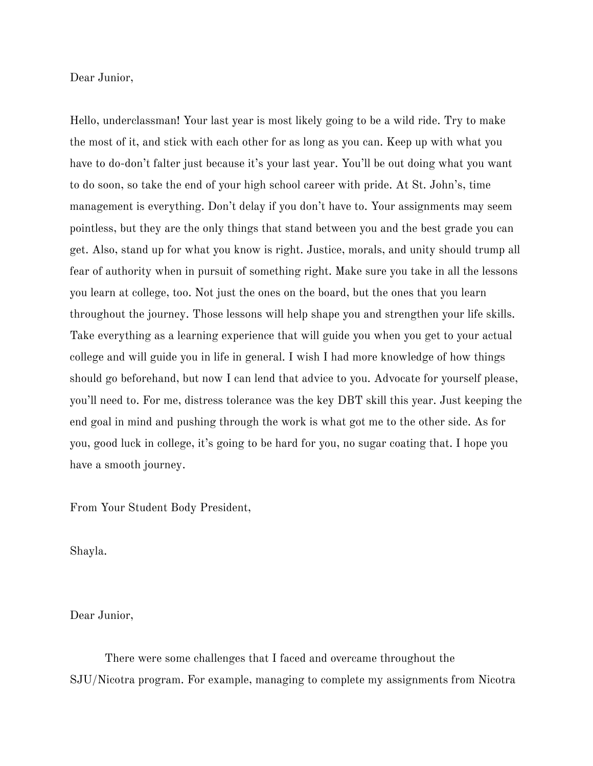Dear Junior,

Hello, underclassman! Your last year is most likely going to be a wild ride. Try to make the most of it, and stick with each other for as long as you can. Keep up with what you have to do-don't falter just because it's your last year. You'll be out doing what you want to do soon, so take the end of your high school career with pride. At St. John's, time management is everything. Don't delay if you don't have to. Your assignments may seem pointless, but they are the only things that stand between you and the best grade you can get. Also, stand up for what you know is right. Justice, morals, and unity should trump all fear of authority when in pursuit of something right. Make sure you take in all the lessons you learn at college, too. Not just the ones on the board, but the ones that you learn throughout the journey. Those lessons will help shape you and strengthen your life skills. Take everything as a learning experience that will guide you when you get to your actual college and will guide you in life in general. I wish I had more knowledge of how things should go beforehand, but now I can lend that advice to you. Advocate for yourself please, you'll need to. For me, distress tolerance was the key DBT skill this year. Just keeping the end goal in mind and pushing through the work is what got me to the other side. As for you, good luck in college, it's going to be hard for you, no sugar coating that. I hope you have a smooth journey.

From Your Student Body President,

Shayla.

Dear Junior,

There were some challenges that I faced and overcame throughout the SJU/Nicotra program. For example, managing to complete my assignments from Nicotra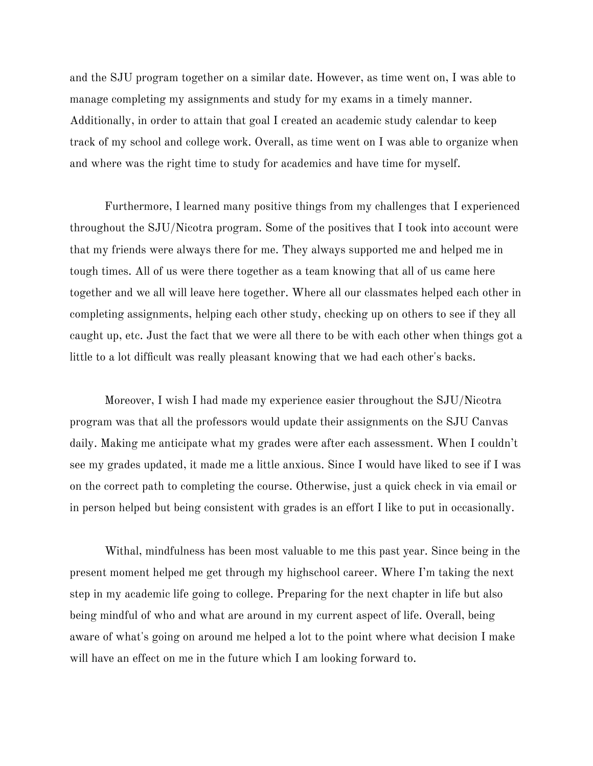and the SJU program together on a similar date. However, as time went on, I was able to manage completing my assignments and study for my exams in a timely manner. Additionally, in order to attain that goal I created an academic study calendar to keep track of my school and college work. Overall, as time went on I was able to organize when and where was the right time to study for academics and have time for myself.

Furthermore, I learned many positive things from my challenges that I experienced throughout the SJU/Nicotra program. Some of the positives that I took into account were that my friends were always there for me. They always supported me and helped me in tough times. All of us were there together as a team knowing that all of us came here together and we all will leave here together. Where all our classmates helped each other in completing assignments, helping each other study, checking up on others to see if they all caught up, etc. Just the fact that we were all there to be with each other when things got a little to a lot difficult was really pleasant knowing that we had each other's backs.

Moreover, I wish I had made my experience easier throughout the SJU/Nicotra program was that all the professors would update their assignments on the SJU Canvas daily. Making me anticipate what my grades were after each assessment. When I couldn't see my grades updated, it made me a little anxious. Since I would have liked to see if I was on the correct path to completing the course. Otherwise, just a quick check in via email or in person helped but being consistent with grades is an effort I like to put in occasionally.

Withal, mindfulness has been most valuable to me this past year. Since being in the present moment helped me get through my highschool career. Where I'm taking the next step in my academic life going to college. Preparing for the next chapter in life but also being mindful of who and what are around in my current aspect of life. Overall, being aware of what's going on around me helped a lot to the point where what decision I make will have an effect on me in the future which I am looking forward to.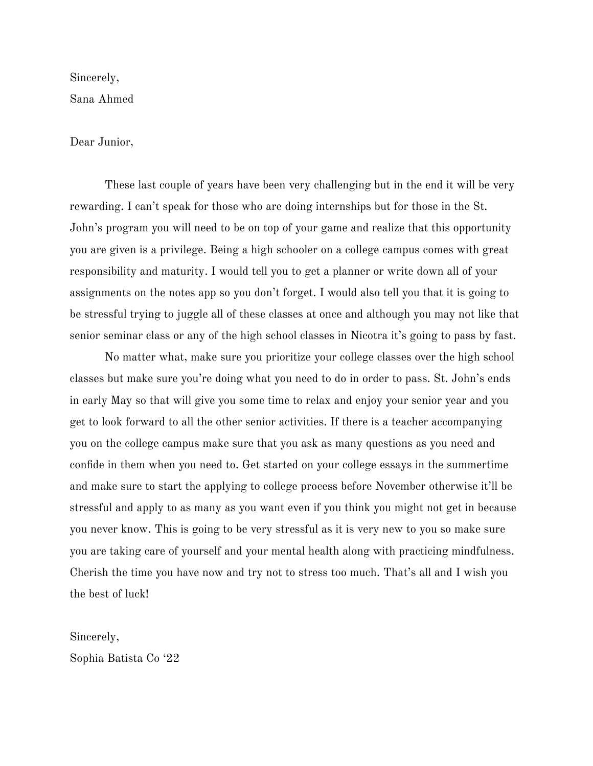Sincerely, Sana Ahmed

#### Dear Junior,

These last couple of years have been very challenging but in the end it will be very rewarding. I can't speak for those who are doing internships but for those in the St. John's program you will need to be on top of your game and realize that this opportunity you are given is a privilege. Being a high schooler on a college campus comes with great responsibility and maturity. I would tell you to get a planner or write down all of your assignments on the notes app so you don't forget. I would also tell you that it is going to be stressful trying to juggle all of these classes at once and although you may not like that senior seminar class or any of the high school classes in Nicotra it's going to pass by fast.

No matter what, make sure you prioritize your college classes over the high school classes but make sure you're doing what you need to do in order to pass. St. John's ends in early May so that will give you some time to relax and enjoy your senior year and you get to look forward to all the other senior activities. If there is a teacher accompanying you on the college campus make sure that you ask as many questions as you need and confide in them when you need to. Get started on your college essays in the summertime and make sure to start the applying to college process before November otherwise it'll be stressful and apply to as many as you want even if you think you might not get in because you never know. This is going to be very stressful as it is very new to you so make sure you are taking care of yourself and your mental health along with practicing mindfulness. Cherish the time you have now and try not to stress too much. That's all and I wish you the best of luck!

Sincerely, Sophia Batista Co '22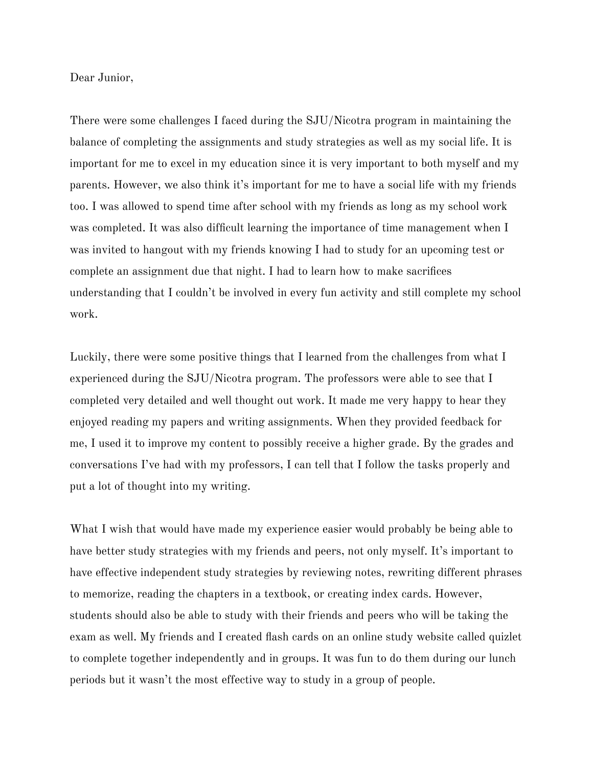Dear Junior,

There were some challenges I faced during the SJU/Nicotra program in maintaining the balance of completing the assignments and study strategies as well as my social life. It is important for me to excel in my education since it is very important to both myself and my parents. However, we also think it's important for me to have a social life with my friends too. I was allowed to spend time after school with my friends as long as my school work was completed. It was also difficult learning the importance of time management when I was invited to hangout with my friends knowing I had to study for an upcoming test or complete an assignment due that night. I had to learn how to make sacrifices understanding that I couldn't be involved in every fun activity and still complete my school work.

Luckily, there were some positive things that I learned from the challenges from what I experienced during the SJU/Nicotra program. The professors were able to see that I completed very detailed and well thought out work. It made me very happy to hear they enjoyed reading my papers and writing assignments. When they provided feedback for me, I used it to improve my content to possibly receive a higher grade. By the grades and conversations I've had with my professors, I can tell that I follow the tasks properly and put a lot of thought into my writing.

What I wish that would have made my experience easier would probably be being able to have better study strategies with my friends and peers, not only myself. It's important to have effective independent study strategies by reviewing notes, rewriting different phrases to memorize, reading the chapters in a textbook, or creating index cards. However, students should also be able to study with their friends and peers who will be taking the exam as well. My friends and I created flash cards on an online study website called quizlet to complete together independently and in groups. It was fun to do them during our lunch periods but it wasn't the most effective way to study in a group of people.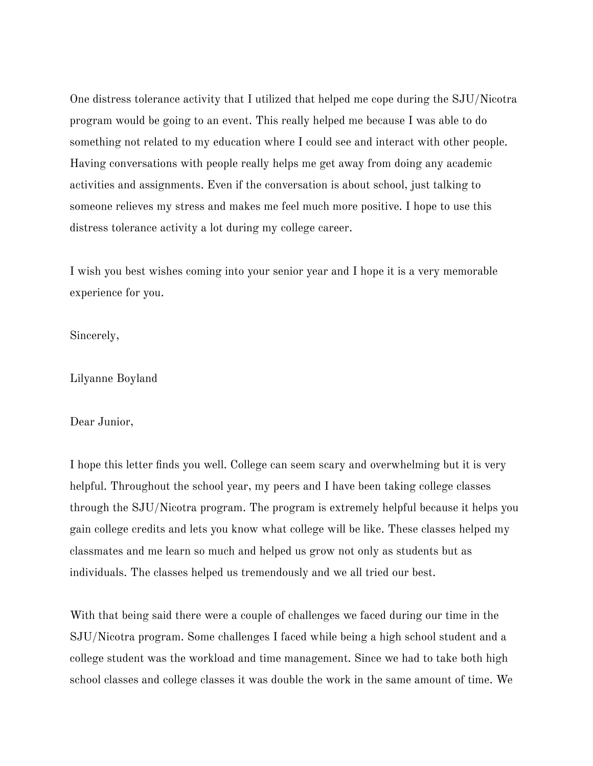One distress tolerance activity that I utilized that helped me cope during the SJU/Nicotra program would be going to an event. This really helped me because I was able to do something not related to my education where I could see and interact with other people. Having conversations with people really helps me get away from doing any academic activities and assignments. Even if the conversation is about school, just talking to someone relieves my stress and makes me feel much more positive. I hope to use this distress tolerance activity a lot during my college career.

I wish you best wishes coming into your senior year and I hope it is a very memorable experience for you.

Sincerely,

Lilyanne Boyland

Dear Junior,

I hope this letter finds you well. College can seem scary and overwhelming but it is very helpful. Throughout the school year, my peers and I have been taking college classes through the SJU/Nicotra program. The program is extremely helpful because it helps you gain college credits and lets you know what college will be like. These classes helped my classmates and me learn so much and helped us grow not only as students but as individuals. The classes helped us tremendously and we all tried our best.

With that being said there were a couple of challenges we faced during our time in the SJU/Nicotra program. Some challenges I faced while being a high school student and a college student was the workload and time management. Since we had to take both high school classes and college classes it was double the work in the same amount of time. We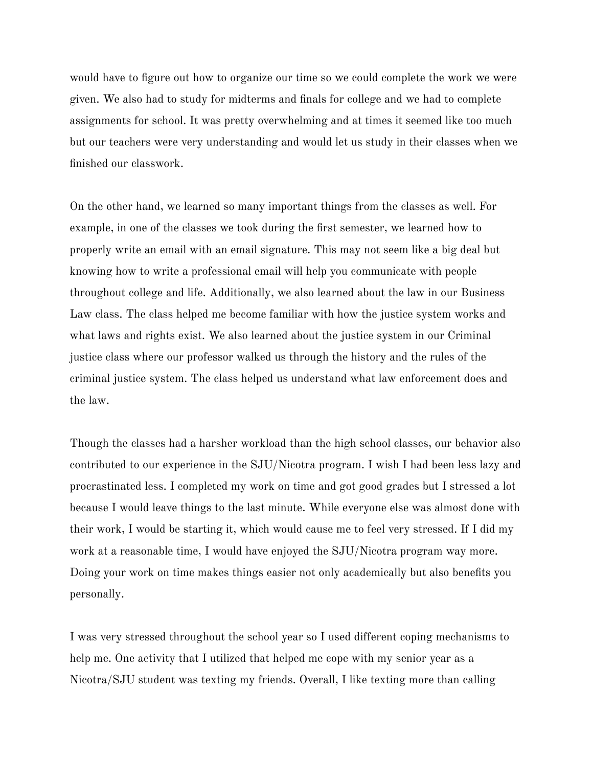would have to figure out how to organize our time so we could complete the work we were given. We also had to study for midterms and finals for college and we had to complete assignments for school. It was pretty overwhelming and at times it seemed like too much but our teachers were very understanding and would let us study in their classes when we finished our classwork.

On the other hand, we learned so many important things from the classes as well. For example, in one of the classes we took during the first semester, we learned how to properly write an email with an email signature. This may not seem like a big deal but knowing how to write a professional email will help you communicate with people throughout college and life. Additionally, we also learned about the law in our Business Law class. The class helped me become familiar with how the justice system works and what laws and rights exist. We also learned about the justice system in our Criminal justice class where our professor walked us through the history and the rules of the criminal justice system. The class helped us understand what law enforcement does and the law.

Though the classes had a harsher workload than the high school classes, our behavior also contributed to our experience in the SJU/Nicotra program. I wish I had been less lazy and procrastinated less. I completed my work on time and got good grades but I stressed a lot because I would leave things to the last minute. While everyone else was almost done with their work, I would be starting it, which would cause me to feel very stressed. If I did my work at a reasonable time, I would have enjoyed the SJU/Nicotra program way more. Doing your work on time makes things easier not only academically but also benefits you personally.

I was very stressed throughout the school year so I used different coping mechanisms to help me. One activity that I utilized that helped me cope with my senior year as a Nicotra/SJU student was texting my friends. Overall, I like texting more than calling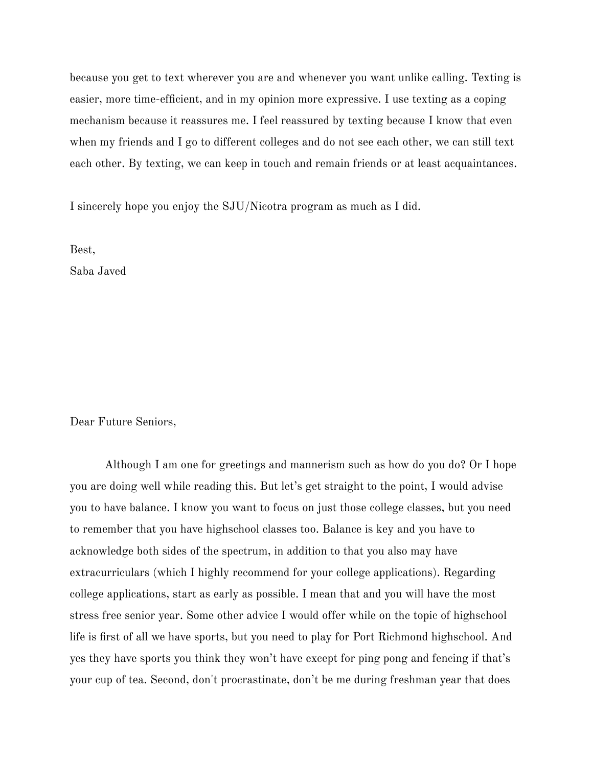because you get to text wherever you are and whenever you want unlike calling. Texting is easier, more time-efficient, and in my opinion more expressive. I use texting as a coping mechanism because it reassures me. I feel reassured by texting because I know that even when my friends and I go to different colleges and do not see each other, we can still text each other. By texting, we can keep in touch and remain friends or at least acquaintances.

I sincerely hope you enjoy the SJU/Nicotra program as much as I did.

Best,

Saba Javed

Dear Future Seniors,

Although I am one for greetings and mannerism such as how do you do? Or I hope you are doing well while reading this. But let's get straight to the point, I would advise you to have balance. I know you want to focus on just those college classes, but you need to remember that you have highschool classes too. Balance is key and you have to acknowledge both sides of the spectrum, in addition to that you also may have extracurriculars (which I highly recommend for your college applications). Regarding college applications, start as early as possible. I mean that and you will have the most stress free senior year. Some other advice I would offer while on the topic of highschool life is first of all we have sports, but you need to play for Port Richmond highschool. And yes they have sports you think they won't have except for ping pong and fencing if that's your cup of tea. Second, don't procrastinate, don't be me during freshman year that does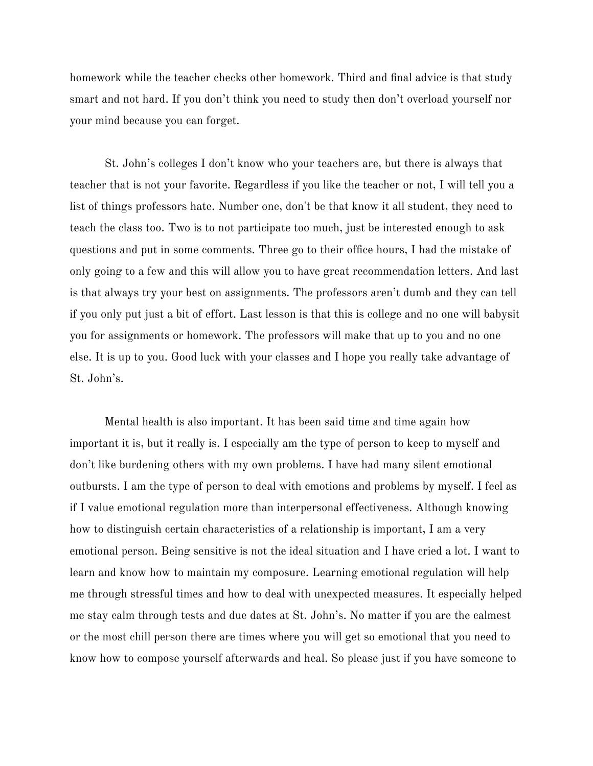homework while the teacher checks other homework. Third and final advice is that study smart and not hard. If you don't think you need to study then don't overload yourself nor your mind because you can forget.

St. John's colleges I don't know who your teachers are, but there is always that teacher that is not your favorite. Regardless if you like the teacher or not, I will tell you a list of things professors hate. Number one, don't be that know it all student, they need to teach the class too. Two is to not participate too much, just be interested enough to ask questions and put in some comments. Three go to their office hours, I had the mistake of only going to a few and this will allow you to have great recommendation letters. And last is that always try your best on assignments. The professors aren't dumb and they can tell if you only put just a bit of effort. Last lesson is that this is college and no one will babysit you for assignments or homework. The professors will make that up to you and no one else. It is up to you. Good luck with your classes and I hope you really take advantage of St. John's.

Mental health is also important. It has been said time and time again how important it is, but it really is. I especially am the type of person to keep to myself and don't like burdening others with my own problems. I have had many silent emotional outbursts. I am the type of person to deal with emotions and problems by myself. I feel as if I value emotional regulation more than interpersonal effectiveness. Although knowing how to distinguish certain characteristics of a relationship is important, I am a very emotional person. Being sensitive is not the ideal situation and I have cried a lot. I want to learn and know how to maintain my composure. Learning emotional regulation will help me through stressful times and how to deal with unexpected measures. It especially helped me stay calm through tests and due dates at St. John's. No matter if you are the calmest or the most chill person there are times where you will get so emotional that you need to know how to compose yourself afterwards and heal. So please just if you have someone to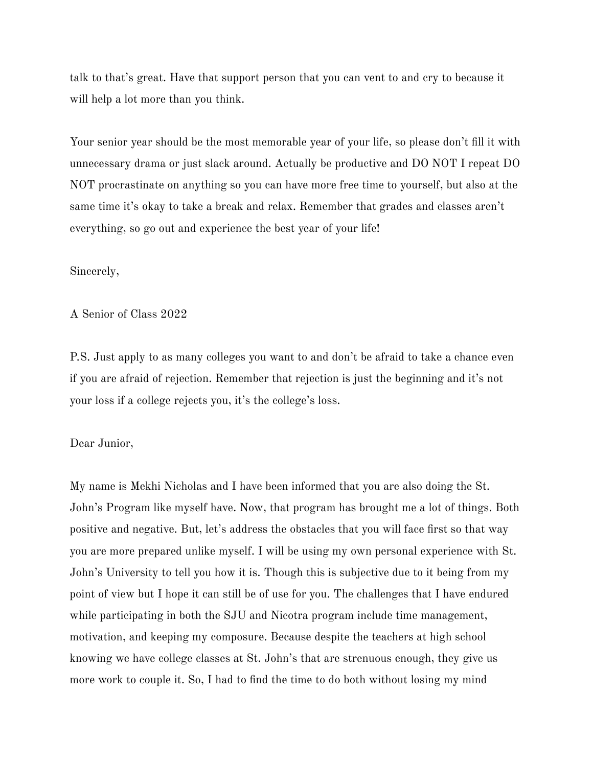talk to that's great. Have that support person that you can vent to and cry to because it will help a lot more than you think.

Your senior year should be the most memorable year of your life, so please don't fill it with unnecessary drama or just slack around. Actually be productive and DO NOT I repeat DO NOT procrastinate on anything so you can have more free time to yourself, but also at the same time it's okay to take a break and relax. Remember that grades and classes aren't everything, so go out and experience the best year of your life!

Sincerely,

A Senior of Class 2022

P.S. Just apply to as many colleges you want to and don't be afraid to take a chance even if you are afraid of rejection. Remember that rejection is just the beginning and it's not your loss if a college rejects you, it's the college's loss.

# Dear Junior,

My name is Mekhi Nicholas and I have been informed that you are also doing the St. John's Program like myself have. Now, that program has brought me a lot of things. Both positive and negative. But, let's address the obstacles that you will face first so that way you are more prepared unlike myself. I will be using my own personal experience with St. John's University to tell you how it is. Though this is subjective due to it being from my point of view but I hope it can still be of use for you. The challenges that I have endured while participating in both the SJU and Nicotra program include time management, motivation, and keeping my composure. Because despite the teachers at high school knowing we have college classes at St. John's that are strenuous enough, they give us more work to couple it. So, I had to find the time to do both without losing my mind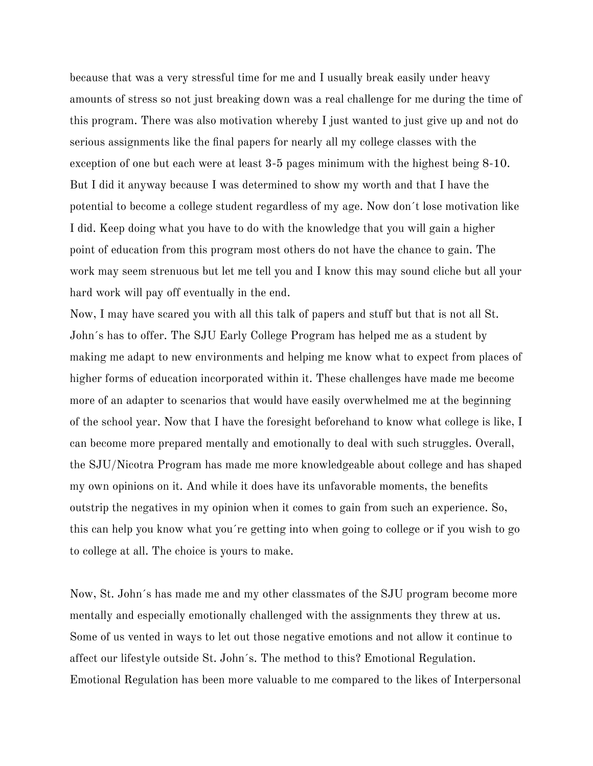because that was a very stressful time for me and I usually break easily under heavy amounts of stress so not just breaking down was a real challenge for me during the time of this program. There was also motivation whereby I just wanted to just give up and not do serious assignments like the final papers for nearly all my college classes with the exception of one but each were at least 3-5 pages minimum with the highest being 8-10. But I did it anyway because I was determined to show my worth and that I have the potential to become a college student regardless of my age. Now don´t lose motivation like I did. Keep doing what you have to do with the knowledge that you will gain a higher point of education from this program most others do not have the chance to gain. The work may seem strenuous but let me tell you and I know this may sound cliche but all your hard work will pay off eventually in the end.

Now, I may have scared you with all this talk of papers and stuff but that is not all St. John´s has to offer. The SJU Early College Program has helped me as a student by making me adapt to new environments and helping me know what to expect from places of higher forms of education incorporated within it. These challenges have made me become more of an adapter to scenarios that would have easily overwhelmed me at the beginning of the school year. Now that I have the foresight beforehand to know what college is like, I can become more prepared mentally and emotionally to deal with such struggles. Overall, the SJU/Nicotra Program has made me more knowledgeable about college and has shaped my own opinions on it. And while it does have its unfavorable moments, the benefits outstrip the negatives in my opinion when it comes to gain from such an experience. So, this can help you know what you´re getting into when going to college or if you wish to go to college at all. The choice is yours to make.

Now, St. John´s has made me and my other classmates of the SJU program become more mentally and especially emotionally challenged with the assignments they threw at us. Some of us vented in ways to let out those negative emotions and not allow it continue to affect our lifestyle outside St. John´s. The method to this? Emotional Regulation. Emotional Regulation has been more valuable to me compared to the likes of Interpersonal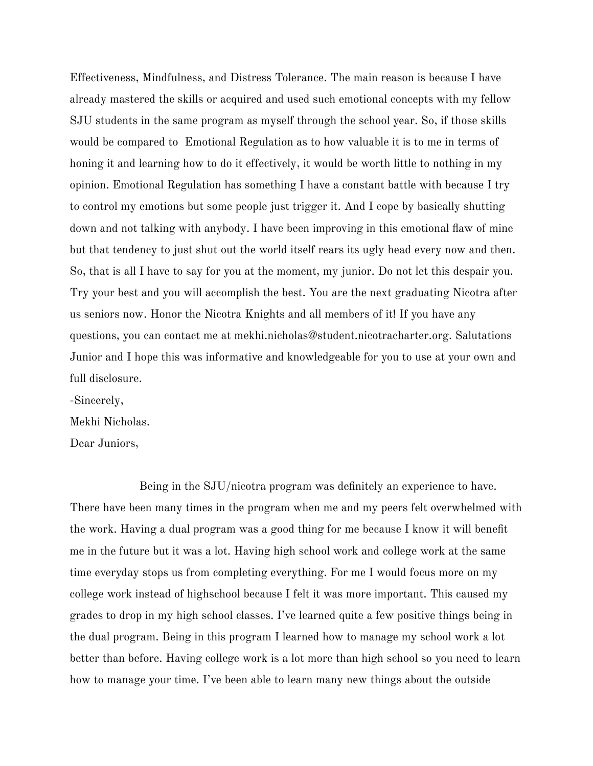Effectiveness, Mindfulness, and Distress Tolerance. The main reason is because I have already mastered the skills or acquired and used such emotional concepts with my fellow SJU students in the same program as myself through the school year. So, if those skills would be compared to Emotional Regulation as to how valuable it is to me in terms of honing it and learning how to do it effectively, it would be worth little to nothing in my opinion. Emotional Regulation has something I have a constant battle with because I try to control my emotions but some people just trigger it. And I cope by basically shutting down and not talking with anybody. I have been improving in this emotional flaw of mine but that tendency to just shut out the world itself rears its ugly head every now and then. So, that is all I have to say for you at the moment, my junior. Do not let this despair you. Try your best and you will accomplish the best. You are the next graduating Nicotra after us seniors now. Honor the Nicotra Knights and all members of it! If you have any questions, you can contact me at mekhi.nicholas@student.nicotracharter.org. Salutations Junior and I hope this was informative and knowledgeable for you to use at your own and full disclosure.

-Sincerely,

Mekhi Nicholas.

Dear Juniors,

Being in the SJU/nicotra program was definitely an experience to have. There have been many times in the program when me and my peers felt overwhelmed with the work. Having a dual program was a good thing for me because I know it will benefit me in the future but it was a lot. Having high school work and college work at the same time everyday stops us from completing everything. For me I would focus more on my college work instead of highschool because I felt it was more important. This caused my grades to drop in my high school classes. I've learned quite a few positive things being in the dual program. Being in this program I learned how to manage my school work a lot better than before. Having college work is a lot more than high school so you need to learn how to manage your time. I've been able to learn many new things about the outside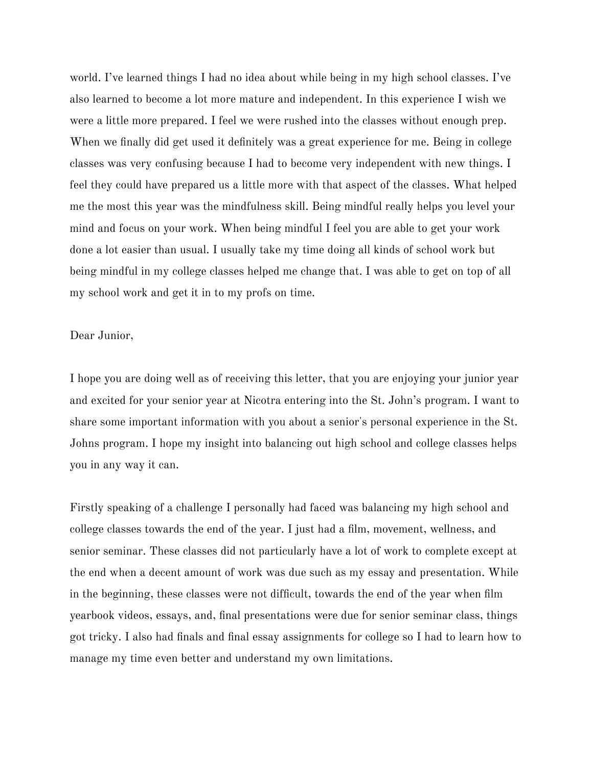world. I've learned things I had no idea about while being in my high school classes. I've also learned to become a lot more mature and independent. In this experience I wish we were a little more prepared. I feel we were rushed into the classes without enough prep. When we finally did get used it definitely was a great experience for me. Being in college classes was very confusing because I had to become very independent with new things. I feel they could have prepared us a little more with that aspect of the classes. What helped me the most this year was the mindfulness skill. Being mindful really helps you level your mind and focus on your work. When being mindful I feel you are able to get your work done a lot easier than usual. I usually take my time doing all kinds of school work but being mindful in my college classes helped me change that. I was able to get on top of all my school work and get it in to my profs on time.

## Dear Junior,

I hope you are doing well as of receiving this letter, that you are enjoying your junior year and excited for your senior year at Nicotra entering into the St. John's program. I want to share some important information with you about a senior's personal experience in the St. Johns program. I hope my insight into balancing out high school and college classes helps you in any way it can.

Firstly speaking of a challenge I personally had faced was balancing my high school and college classes towards the end of the year. I just had a film, movement, wellness, and senior seminar. These classes did not particularly have a lot of work to complete except at the end when a decent amount of work was due such as my essay and presentation. While in the beginning, these classes were not difficult, towards the end of the year when film yearbook videos, essays, and, final presentations were due for senior seminar class, things got tricky. I also had finals and final essay assignments for college so I had to learn how to manage my time even better and understand my own limitations.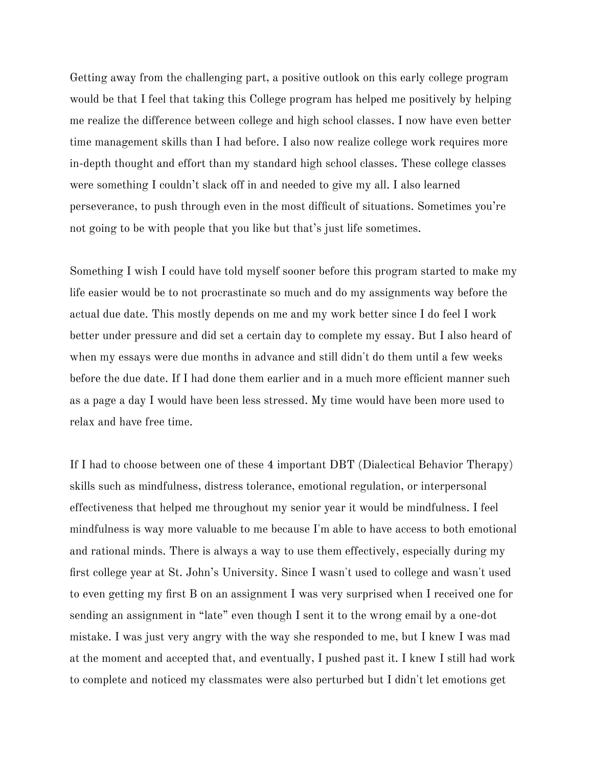Getting away from the challenging part, a positive outlook on this early college program would be that I feel that taking this College program has helped me positively by helping me realize the difference between college and high school classes. I now have even better time management skills than I had before. I also now realize college work requires more in-depth thought and effort than my standard high school classes. These college classes were something I couldn't slack off in and needed to give my all. I also learned perseverance, to push through even in the most difficult of situations. Sometimes you're not going to be with people that you like but that's just life sometimes.

Something I wish I could have told myself sooner before this program started to make my life easier would be to not procrastinate so much and do my assignments way before the actual due date. This mostly depends on me and my work better since I do feel I work better under pressure and did set a certain day to complete my essay. But I also heard of when my essays were due months in advance and still didn't do them until a few weeks before the due date. If I had done them earlier and in a much more efficient manner such as a page a day I would have been less stressed. My time would have been more used to relax and have free time.

If I had to choose between one of these 4 important DBT (Dialectical Behavior Therapy) skills such as mindfulness, distress tolerance, emotional regulation, or interpersonal effectiveness that helped me throughout my senior year it would be mindfulness. I feel mindfulness is way more valuable to me because I'm able to have access to both emotional and rational minds. There is always a way to use them effectively, especially during my first college year at St. John's University. Since I wasn't used to college and wasn't used to even getting my first B on an assignment I was very surprised when I received one for sending an assignment in "late" even though I sent it to the wrong email by a one-dot mistake. I was just very angry with the way she responded to me, but I knew I was mad at the moment and accepted that, and eventually, I pushed past it. I knew I still had work to complete and noticed my classmates were also perturbed but I didn't let emotions get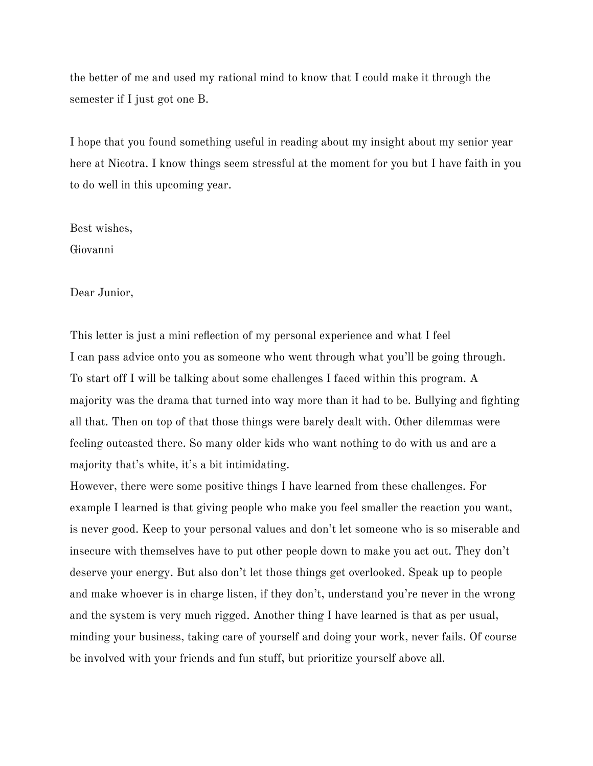the better of me and used my rational mind to know that I could make it through the semester if I just got one B.

I hope that you found something useful in reading about my insight about my senior year here at Nicotra. I know things seem stressful at the moment for you but I have faith in you to do well in this upcoming year.

Best wishes,

Giovanni

Dear Junior,

This letter is just a mini reflection of my personal experience and what I feel I can pass advice onto you as someone who went through what you'll be going through. To start off I will be talking about some challenges I faced within this program. A majority was the drama that turned into way more than it had to be. Bullying and fighting all that. Then on top of that those things were barely dealt with. Other dilemmas were feeling outcasted there. So many older kids who want nothing to do with us and are a majority that's white, it's a bit intimidating.

However, there were some positive things I have learned from these challenges. For example I learned is that giving people who make you feel smaller the reaction you want, is never good. Keep to your personal values and don't let someone who is so miserable and insecure with themselves have to put other people down to make you act out. They don't deserve your energy. But also don't let those things get overlooked. Speak up to people and make whoever is in charge listen, if they don't, understand you're never in the wrong and the system is very much rigged. Another thing I have learned is that as per usual, minding your business, taking care of yourself and doing your work, never fails. Of course be involved with your friends and fun stuff, but prioritize yourself above all.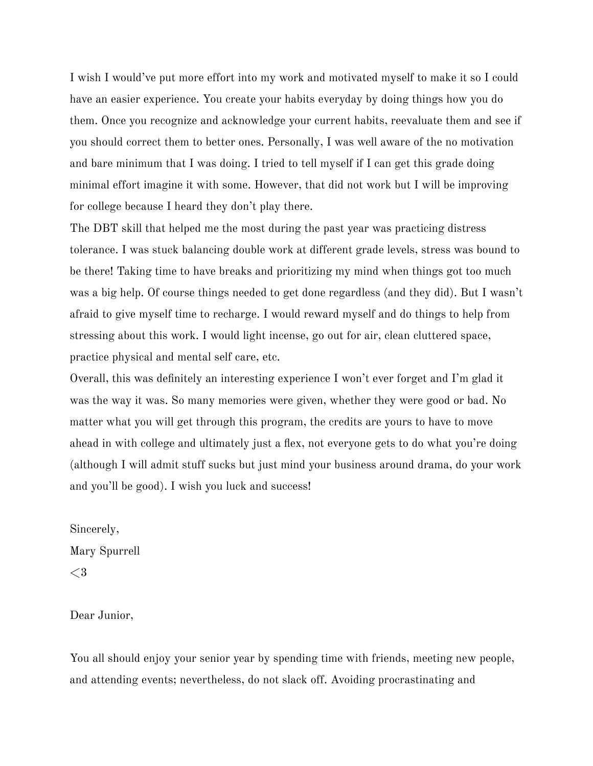I wish I would've put more effort into my work and motivated myself to make it so I could have an easier experience. You create your habits everyday by doing things how you do them. Once you recognize and acknowledge your current habits, reevaluate them and see if you should correct them to better ones. Personally, I was well aware of the no motivation and bare minimum that I was doing. I tried to tell myself if I can get this grade doing minimal effort imagine it with some. However, that did not work but I will be improving for college because I heard they don't play there.

The DBT skill that helped me the most during the past year was practicing distress tolerance. I was stuck balancing double work at different grade levels, stress was bound to be there! Taking time to have breaks and prioritizing my mind when things got too much was a big help. Of course things needed to get done regardless (and they did). But I wasn't afraid to give myself time to recharge. I would reward myself and do things to help from stressing about this work. I would light incense, go out for air, clean cluttered space, practice physical and mental self care, etc.

Overall, this was definitely an interesting experience I won't ever forget and I'm glad it was the way it was. So many memories were given, whether they were good or bad. No matter what you will get through this program, the credits are yours to have to move ahead in with college and ultimately just a flex, not everyone gets to do what you're doing (although I will admit stuff sucks but just mind your business around drama, do your work and you'll be good). I wish you luck and success!

Sincerely, Mary Spurrell  $\leq$  3

Dear Junior,

You all should enjoy your senior year by spending time with friends, meeting new people, and attending events; nevertheless, do not slack off. Avoiding procrastinating and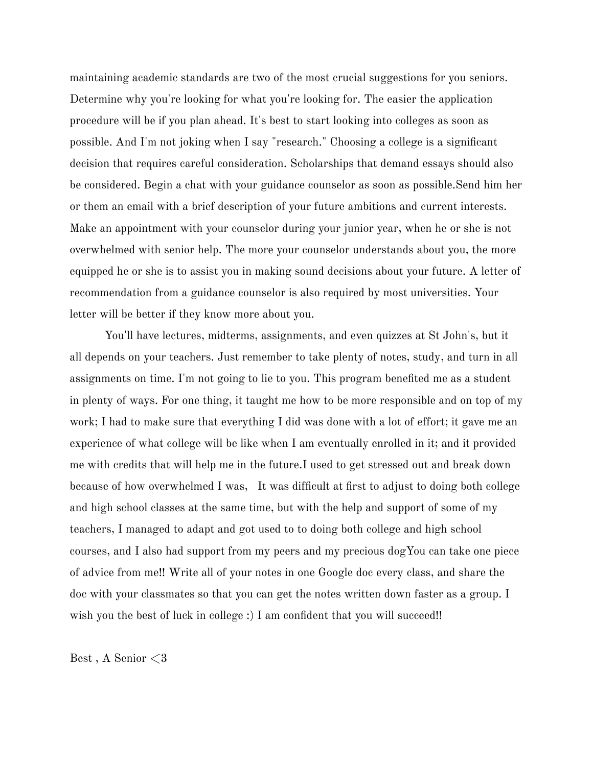maintaining academic standards are two of the most crucial suggestions for you seniors. Determine why you're looking for what you're looking for. The easier the application procedure will be if you plan ahead. It's best to start looking into colleges as soon as possible. And I'm not joking when I say "research." Choosing a college is a significant decision that requires careful consideration. Scholarships that demand essays should also be considered. Begin a chat with your guidance counselor as soon as possible.Send him her or them an email with a brief description of your future ambitions and current interests. Make an appointment with your counselor during your junior year, when he or she is not overwhelmed with senior help. The more your counselor understands about you, the more equipped he or she is to assist you in making sound decisions about your future. A letter of recommendation from a guidance counselor is also required by most universities. Your letter will be better if they know more about you.

You'll have lectures, midterms, assignments, and even quizzes at St John's, but it all depends on your teachers. Just remember to take plenty of notes, study, and turn in all assignments on time. I'm not going to lie to you. This program benefited me as a student in plenty of ways. For one thing, it taught me how to be more responsible and on top of my work; I had to make sure that everything I did was done with a lot of effort; it gave me an experience of what college will be like when I am eventually enrolled in it; and it provided me with credits that will help me in the future.I used to get stressed out and break down because of how overwhelmed I was, It was difficult at first to adjust to doing both college and high school classes at the same time, but with the help and support of some of my teachers, I managed to adapt and got used to to doing both college and high school courses, and I also had support from my peers and my precious dogYou can take one piece of advice from me!! Write all of your notes in one Google doc every class, and share the doc with your classmates so that you can get the notes written down faster as a group. I wish you the best of luck in college :) I am confident that you will succeed!!

Best , A Senior <3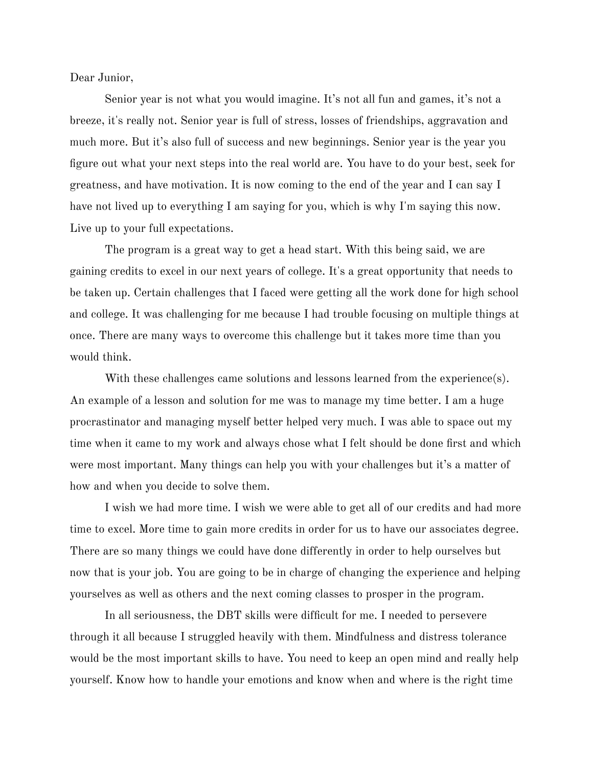Dear Junior,

Senior year is not what you would imagine. It's not all fun and games, it's not a breeze, it's really not. Senior year is full of stress, losses of friendships, aggravation and much more. But it's also full of success and new beginnings. Senior year is the year you figure out what your next steps into the real world are. You have to do your best, seek for greatness, and have motivation. It is now coming to the end of the year and I can say I have not lived up to everything I am saying for you, which is why I'm saying this now. Live up to your full expectations.

The program is a great way to get a head start. With this being said, we are gaining credits to excel in our next years of college. It's a great opportunity that needs to be taken up. Certain challenges that I faced were getting all the work done for high school and college. It was challenging for me because I had trouble focusing on multiple things at once. There are many ways to overcome this challenge but it takes more time than you would think.

With these challenges came solutions and lessons learned from the experience(s). An example of a lesson and solution for me was to manage my time better. I am a huge procrastinator and managing myself better helped very much. I was able to space out my time when it came to my work and always chose what I felt should be done first and which were most important. Many things can help you with your challenges but it's a matter of how and when you decide to solve them.

I wish we had more time. I wish we were able to get all of our credits and had more time to excel. More time to gain more credits in order for us to have our associates degree. There are so many things we could have done differently in order to help ourselves but now that is your job. You are going to be in charge of changing the experience and helping yourselves as well as others and the next coming classes to prosper in the program.

In all seriousness, the DBT skills were difficult for me. I needed to persevere through it all because I struggled heavily with them. Mindfulness and distress tolerance would be the most important skills to have. You need to keep an open mind and really help yourself. Know how to handle your emotions and know when and where is the right time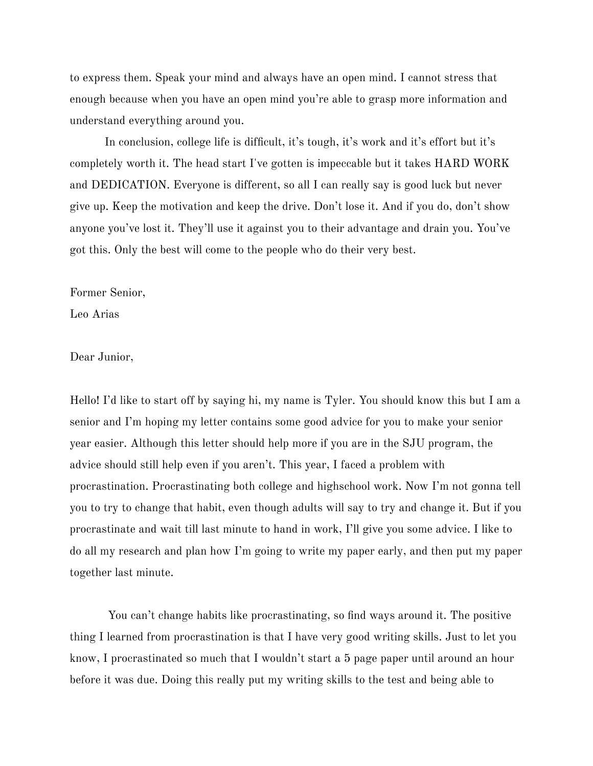to express them. Speak your mind and always have an open mind. I cannot stress that enough because when you have an open mind you're able to grasp more information and understand everything around you.

In conclusion, college life is difficult, it's tough, it's work and it's effort but it's completely worth it. The head start I've gotten is impeccable but it takes HARD WORK and DEDICATION. Everyone is different, so all I can really say is good luck but never give up. Keep the motivation and keep the drive. Don't lose it. And if you do, don't show anyone you've lost it. They'll use it against you to their advantage and drain you. You've got this. Only the best will come to the people who do their very best.

Former Senior,

Leo Arias

Dear Junior,

Hello! I'd like to start off by saying hi, my name is Tyler. You should know this but I am a senior and I'm hoping my letter contains some good advice for you to make your senior year easier. Although this letter should help more if you are in the SJU program, the advice should still help even if you aren't. This year, I faced a problem with procrastination. Procrastinating both college and highschool work. Now I'm not gonna tell you to try to change that habit, even though adults will say to try and change it. But if you procrastinate and wait till last minute to hand in work, I'll give you some advice. I like to do all my research and plan how I'm going to write my paper early, and then put my paper together last minute.

You can't change habits like procrastinating, so find ways around it. The positive thing I learned from procrastination is that I have very good writing skills. Just to let you know, I procrastinated so much that I wouldn't start a 5 page paper until around an hour before it was due. Doing this really put my writing skills to the test and being able to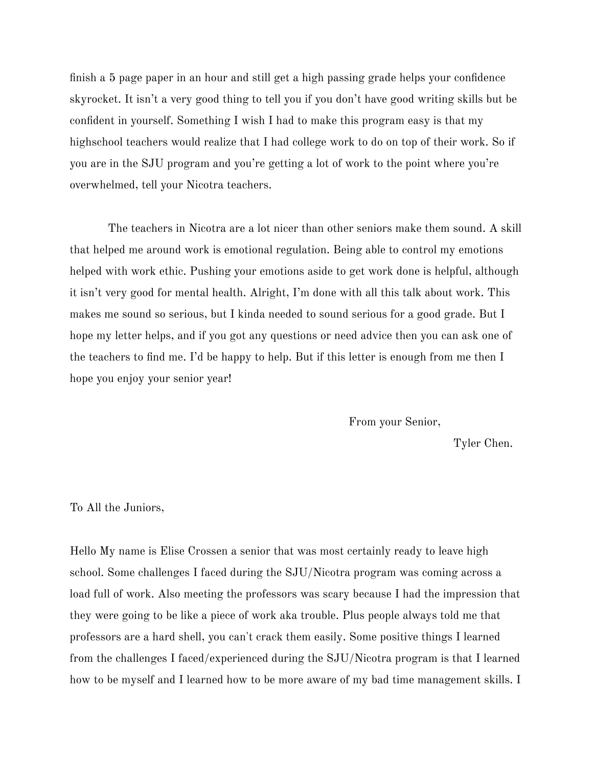finish a 5 page paper in an hour and still get a high passing grade helps your confidence skyrocket. It isn't a very good thing to tell you if you don't have good writing skills but be confident in yourself. Something I wish I had to make this program easy is that my highschool teachers would realize that I had college work to do on top of their work. So if you are in the SJU program and you're getting a lot of work to the point where you're overwhelmed, tell your Nicotra teachers.

The teachers in Nicotra are a lot nicer than other seniors make them sound. A skill that helped me around work is emotional regulation. Being able to control my emotions helped with work ethic. Pushing your emotions aside to get work done is helpful, although it isn't very good for mental health. Alright, I'm done with all this talk about work. This makes me sound so serious, but I kinda needed to sound serious for a good grade. But I hope my letter helps, and if you got any questions or need advice then you can ask one of the teachers to find me. I'd be happy to help. But if this letter is enough from me then I hope you enjoy your senior year!

From your Senior,

Tyler Chen.

# To All the Juniors,

Hello My name is Elise Crossen a senior that was most certainly ready to leave high school. Some challenges I faced during the SJU/Nicotra program was coming across a load full of work. Also meeting the professors was scary because I had the impression that they were going to be like a piece of work aka trouble. Plus people always told me that professors are a hard shell, you can't crack them easily. Some positive things I learned from the challenges I faced/experienced during the SJU/Nicotra program is that I learned how to be myself and I learned how to be more aware of my bad time management skills. I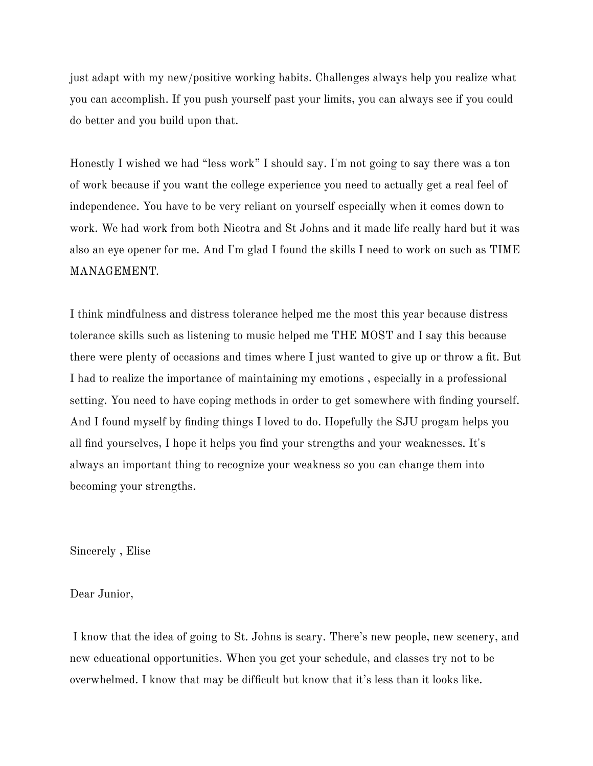just adapt with my new/positive working habits. Challenges always help you realize what you can accomplish. If you push yourself past your limits, you can always see if you could do better and you build upon that.

Honestly I wished we had "less work" I should say. I'm not going to say there was a ton of work because if you want the college experience you need to actually get a real feel of independence. You have to be very reliant on yourself especially when it comes down to work. We had work from both Nicotra and St Johns and it made life really hard but it was also an eye opener for me. And I'm glad I found the skills I need to work on such as TIME MANAGEMENT.

I think mindfulness and distress tolerance helped me the most this year because distress tolerance skills such as listening to music helped me THE MOST and I say this because there were plenty of occasions and times where I just wanted to give up or throw a fit. But I had to realize the importance of maintaining my emotions , especially in a professional setting. You need to have coping methods in order to get somewhere with finding yourself. And I found myself by finding things I loved to do. Hopefully the SJU progam helps you all find yourselves, I hope it helps you find your strengths and your weaknesses. It's always an important thing to recognize your weakness so you can change them into becoming your strengths.

Sincerely , Elise

Dear Junior,

I know that the idea of going to St. Johns is scary. There's new people, new scenery, and new educational opportunities. When you get your schedule, and classes try not to be overwhelmed. I know that may be difficult but know that it's less than it looks like.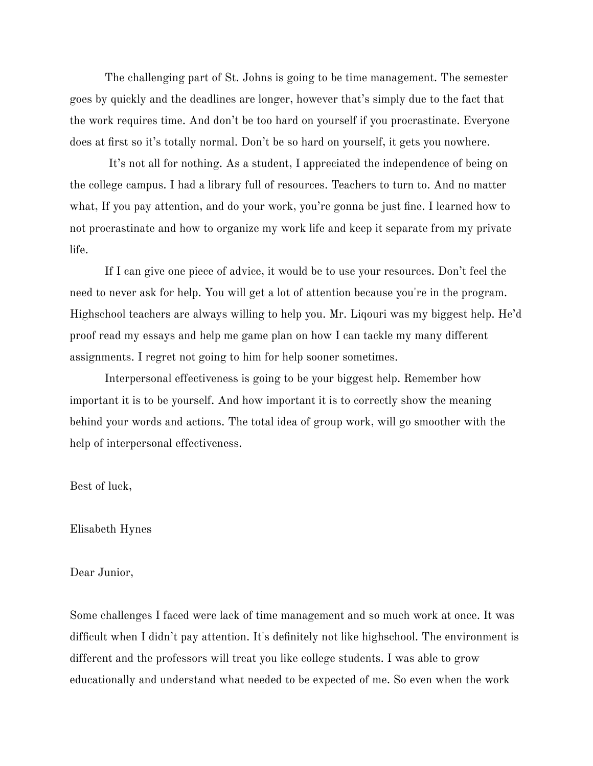The challenging part of St. Johns is going to be time management. The semester goes by quickly and the deadlines are longer, however that's simply due to the fact that the work requires time. And don't be too hard on yourself if you procrastinate. Everyone does at first so it's totally normal. Don't be so hard on yourself, it gets you nowhere.

It's not all for nothing. As a student, I appreciated the independence of being on the college campus. I had a library full of resources. Teachers to turn to. And no matter what, If you pay attention, and do your work, you're gonna be just fine. I learned how to not procrastinate and how to organize my work life and keep it separate from my private life.

If I can give one piece of advice, it would be to use your resources. Don't feel the need to never ask for help. You will get a lot of attention because you're in the program. Highschool teachers are always willing to help you. Mr. Liqouri was my biggest help. He'd proof read my essays and help me game plan on how I can tackle my many different assignments. I regret not going to him for help sooner sometimes.

Interpersonal effectiveness is going to be your biggest help. Remember how important it is to be yourself. And how important it is to correctly show the meaning behind your words and actions. The total idea of group work, will go smoother with the help of interpersonal effectiveness.

Best of luck,

# Elisabeth Hynes

# Dear Junior,

Some challenges I faced were lack of time management and so much work at once. It was difficult when I didn't pay attention. It's definitely not like highschool. The environment is different and the professors will treat you like college students. I was able to grow educationally and understand what needed to be expected of me. So even when the work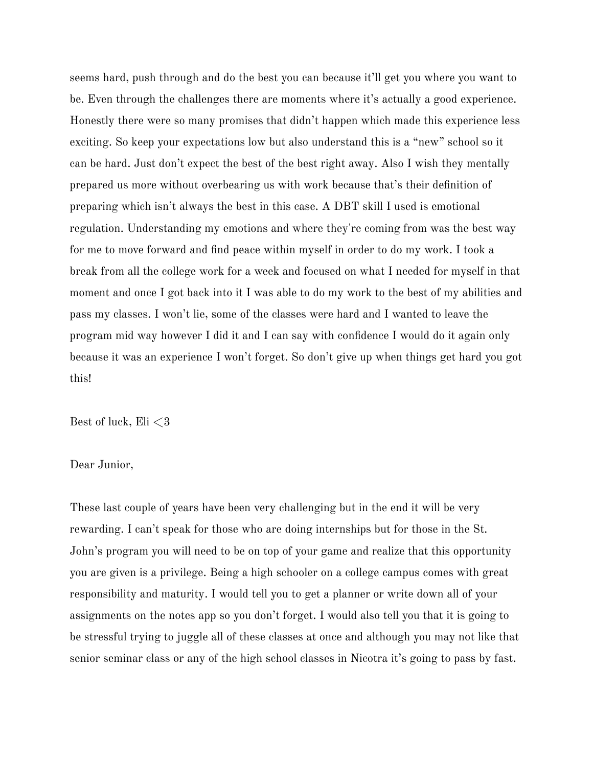seems hard, push through and do the best you can because it'll get you where you want to be. Even through the challenges there are moments where it's actually a good experience. Honestly there were so many promises that didn't happen which made this experience less exciting. So keep your expectations low but also understand this is a "new" school so it can be hard. Just don't expect the best of the best right away. Also I wish they mentally prepared us more without overbearing us with work because that's their definition of preparing which isn't always the best in this case. A DBT skill I used is emotional regulation. Understanding my emotions and where they're coming from was the best way for me to move forward and find peace within myself in order to do my work. I took a break from all the college work for a week and focused on what I needed for myself in that moment and once I got back into it I was able to do my work to the best of my abilities and pass my classes. I won't lie, some of the classes were hard and I wanted to leave the program mid way however I did it and I can say with confidence I would do it again only because it was an experience I won't forget. So don't give up when things get hard you got this!

Best of luck, Eli  $\leq$ 3

# Dear Junior,

These last couple of years have been very challenging but in the end it will be very rewarding. I can't speak for those who are doing internships but for those in the St. John's program you will need to be on top of your game and realize that this opportunity you are given is a privilege. Being a high schooler on a college campus comes with great responsibility and maturity. I would tell you to get a planner or write down all of your assignments on the notes app so you don't forget. I would also tell you that it is going to be stressful trying to juggle all of these classes at once and although you may not like that senior seminar class or any of the high school classes in Nicotra it's going to pass by fast.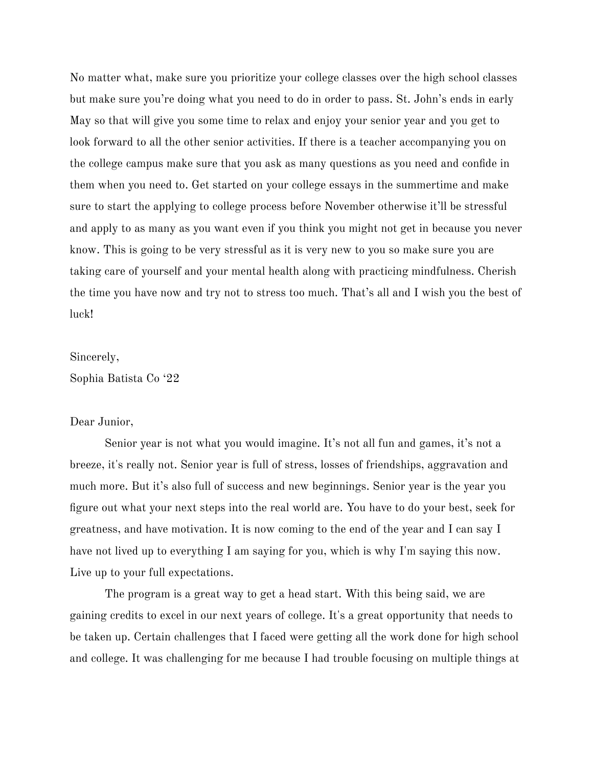No matter what, make sure you prioritize your college classes over the high school classes but make sure you're doing what you need to do in order to pass. St. John's ends in early May so that will give you some time to relax and enjoy your senior year and you get to look forward to all the other senior activities. If there is a teacher accompanying you on the college campus make sure that you ask as many questions as you need and confide in them when you need to. Get started on your college essays in the summertime and make sure to start the applying to college process before November otherwise it'll be stressful and apply to as many as you want even if you think you might not get in because you never know. This is going to be very stressful as it is very new to you so make sure you are taking care of yourself and your mental health along with practicing mindfulness. Cherish the time you have now and try not to stress too much. That's all and I wish you the best of luck!

#### Sincerely,

Sophia Batista Co '22

# Dear Junior,

Senior year is not what you would imagine. It's not all fun and games, it's not a breeze, it's really not. Senior year is full of stress, losses of friendships, aggravation and much more. But it's also full of success and new beginnings. Senior year is the year you figure out what your next steps into the real world are. You have to do your best, seek for greatness, and have motivation. It is now coming to the end of the year and I can say I have not lived up to everything I am saying for you, which is why I'm saying this now. Live up to your full expectations.

The program is a great way to get a head start. With this being said, we are gaining credits to excel in our next years of college. It's a great opportunity that needs to be taken up. Certain challenges that I faced were getting all the work done for high school and college. It was challenging for me because I had trouble focusing on multiple things at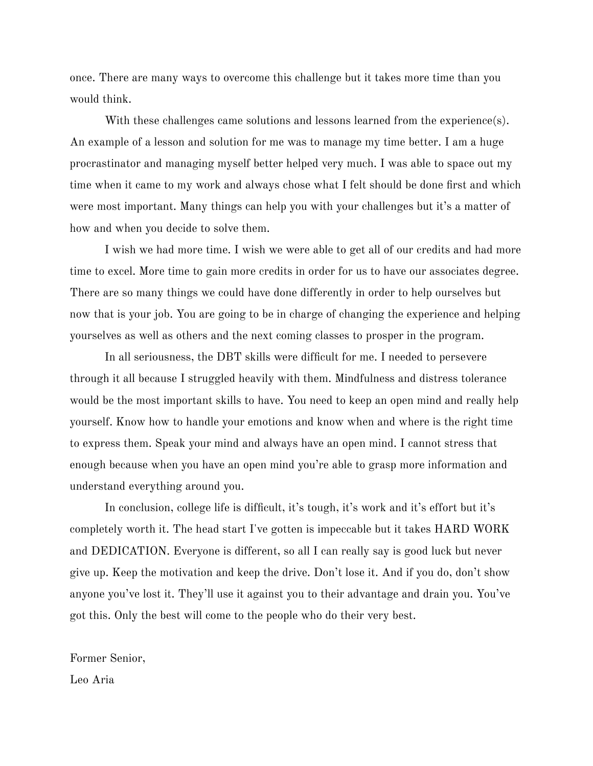once. There are many ways to overcome this challenge but it takes more time than you would think.

With these challenges came solutions and lessons learned from the experience(s). An example of a lesson and solution for me was to manage my time better. I am a huge procrastinator and managing myself better helped very much. I was able to space out my time when it came to my work and always chose what I felt should be done first and which were most important. Many things can help you with your challenges but it's a matter of how and when you decide to solve them.

I wish we had more time. I wish we were able to get all of our credits and had more time to excel. More time to gain more credits in order for us to have our associates degree. There are so many things we could have done differently in order to help ourselves but now that is your job. You are going to be in charge of changing the experience and helping yourselves as well as others and the next coming classes to prosper in the program.

In all seriousness, the DBT skills were difficult for me. I needed to persevere through it all because I struggled heavily with them. Mindfulness and distress tolerance would be the most important skills to have. You need to keep an open mind and really help yourself. Know how to handle your emotions and know when and where is the right time to express them. Speak your mind and always have an open mind. I cannot stress that enough because when you have an open mind you're able to grasp more information and understand everything around you.

In conclusion, college life is difficult, it's tough, it's work and it's effort but it's completely worth it. The head start I've gotten is impeccable but it takes HARD WORK and DEDICATION. Everyone is different, so all I can really say is good luck but never give up. Keep the motivation and keep the drive. Don't lose it. And if you do, don't show anyone you've lost it. They'll use it against you to their advantage and drain you. You've got this. Only the best will come to the people who do their very best.

Former Senior,

Leo Aria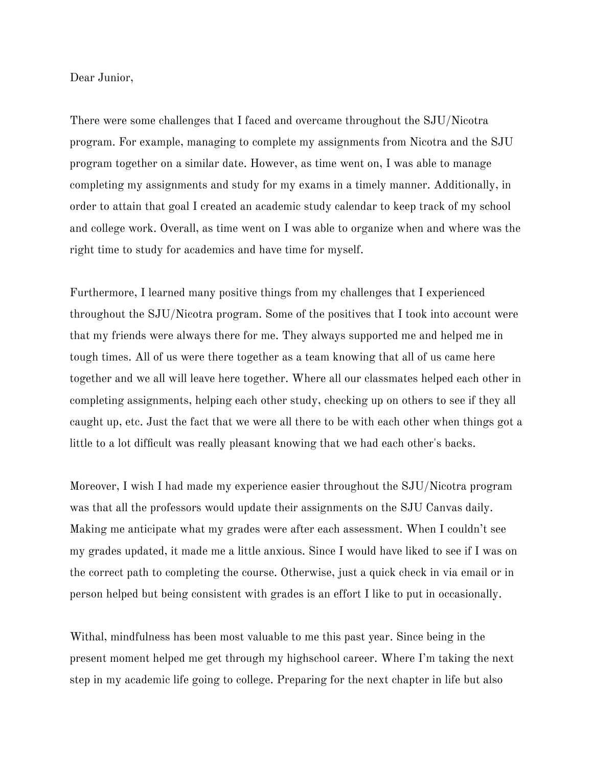Dear Junior,

There were some challenges that I faced and overcame throughout the SJU/Nicotra program. For example, managing to complete my assignments from Nicotra and the SJU program together on a similar date. However, as time went on, I was able to manage completing my assignments and study for my exams in a timely manner. Additionally, in order to attain that goal I created an academic study calendar to keep track of my school and college work. Overall, as time went on I was able to organize when and where was the right time to study for academics and have time for myself.

Furthermore, I learned many positive things from my challenges that I experienced throughout the SJU/Nicotra program. Some of the positives that I took into account were that my friends were always there for me. They always supported me and helped me in tough times. All of us were there together as a team knowing that all of us came here together and we all will leave here together. Where all our classmates helped each other in completing assignments, helping each other study, checking up on others to see if they all caught up, etc. Just the fact that we were all there to be with each other when things got a little to a lot difficult was really pleasant knowing that we had each other's backs.

Moreover, I wish I had made my experience easier throughout the SJU/Nicotra program was that all the professors would update their assignments on the SJU Canvas daily. Making me anticipate what my grades were after each assessment. When I couldn't see my grades updated, it made me a little anxious. Since I would have liked to see if I was on the correct path to completing the course. Otherwise, just a quick check in via email or in person helped but being consistent with grades is an effort I like to put in occasionally.

Withal, mindfulness has been most valuable to me this past year. Since being in the present moment helped me get through my highschool career. Where I'm taking the next step in my academic life going to college. Preparing for the next chapter in life but also